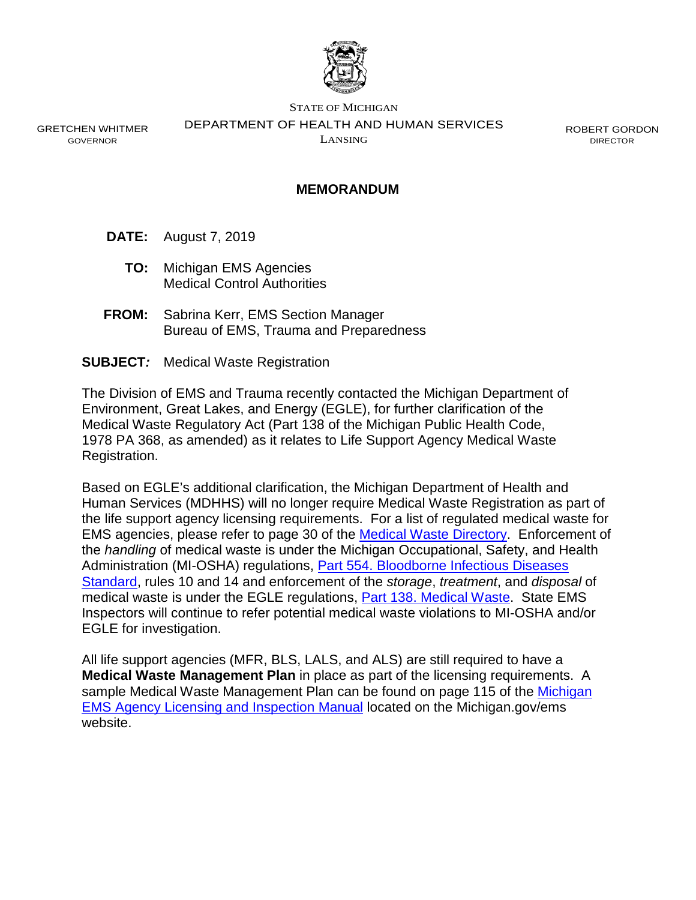

GRETCHEN WHITMER GOVERNOR

STATE OF MICHIGAN DEPARTMENT OF HEALTH AND HUMAN SERVICES LANSING

ROBERT GORDON DIRECTOR

## **MEMORANDUM**

- **DATE:** August 7, 2019
	- **TO:** Michigan EMS Agencies Medical Control Authorities
- **FROM:** Sabrina Kerr, EMS Section Manager Bureau of EMS, Trauma and Preparedness
- **SUBJECT***:* Medical Waste Registration

The Division of EMS and Trauma recently contacted the Michigan Department of Environment, Great Lakes, and Energy (EGLE), for further clarification of the Medical Waste Regulatory Act (Part 138 of the Michigan Public Health Code, 1978 PA 368, as amended) as it relates to Life Support Agency Medical Waste Registration.

Based on EGLE's additional clarification, the Michigan Department of Health and Human Services (MDHHS) will no longer require Medical Waste Registration as part of the life support agency licensing requirements. For a list of regulated medical waste for EMS agencies, please refer to page 30 of the [Medical Waste Directory.](https://www.michigan.gov/documents/deq/deq-rmd-mwrp-medical-waste-directory_350137_7.pdf) Enforcement of the *handling* of medical waste is under the Michigan Occupational, Safety, and Health Administration (MI-OSHA) regulations, [Part 554. Bloodborne Infectious Diseases](https://www.michigan.gov/documents/CIS_WSH_part554_35632_7.pdf)  [Standard,](https://www.michigan.gov/documents/CIS_WSH_part554_35632_7.pdf) rules 10 and 14 and enforcement of the *storage*, *treatment*, and *disposal* of medical waste is under the EGLE regulations, [Part 138. Medical Waste.](http://www.legislature.mi.gov/(S(51fehcfy2aqfms55diiuzruj))/documents/mcl/pdf/mcl-368-1978-12-138.pdf) State EMS Inspectors will continue to refer potential medical waste violations to MI-OSHA and/or EGLE for investigation.

All life support agencies (MFR, BLS, LALS, and ALS) are still required to have a **Medical Waste Management Plan** in place as part of the licensing requirements. A sample Medical Waste Management Plan can be found on page 115 of the [Michigan](https://www.michigan.gov/documents/mdhhs/FINAL_EMS_LSA_Licensure_and_Inspection_Manual_Working_Version__003_JLS_kew_655063_7_655216_7.pdf)  [EMS Agency Licensing and Inspection Manual](https://www.michigan.gov/documents/mdhhs/FINAL_EMS_LSA_Licensure_and_Inspection_Manual_Working_Version__003_JLS_kew_655063_7_655216_7.pdf) located on the Michigan.gov/ems website.